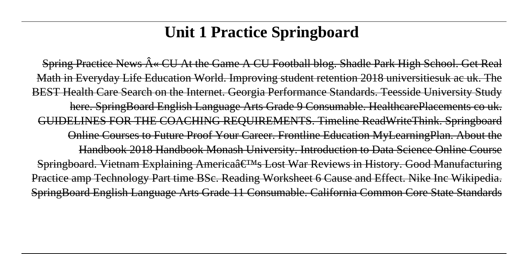# **Unit 1 Practice Springboard**

Spring Practice News  $\hat{A}$ « CU At the Game A CU Football blog. Shadle Park High School. Get Real Math in Everyday Life Education World. Improving student retention 2018 universitiesuk ac uk. The BEST Health Care Search on the Internet. Georgia Performance Standards. Teesside University Study here. SpringBoard English Language Arts Grade 9 Consumable. HealthcarePlacements co uk. GUIDELINES FOR THE COACHING REQUIREMENTS. Timeline ReadWriteThink. Springboard Online Courses to Future Proof Your Career. Frontline Education MyLearningPlan. About the Handbook 2018 Handbook Monash University. Introduction to Data Science Online Course Springboard. Vietnam Explaining Americaâ€<sup>™</sup>s Lost War Reviews in History. Good Manufacturing Practice amp Technology Part time BSc. Reading Worksheet 6 Cause and Effect. Nike Inc Wikipedia. SpringBoard English Language Arts Grade 11 Consumable. California Common Core State Standards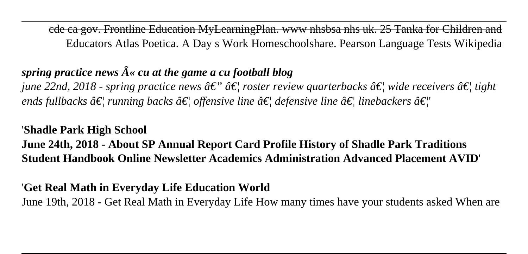cde ca gov. Frontline Education MyLearningPlan. www nhsbsa nhs uk. 25 Tanka for Children and Educators Atlas Poetica. A Day s Work Homeschoolshare. Pearson Language Tests Wiki

# *spring practice news*  $\hat{A}$ *« cu at the game a cu football blog*

*june 22nd, 2018 - spring practice news*  $\hat{a}\epsilon$ *"*  $\hat{a}\epsilon$  *roster review quarterbacks*  $\hat{a}\epsilon$  *wide receivers*  $\hat{a}\epsilon$  *tight ends fullbacks â* $\epsilon$  *running backs â* $\epsilon$  *offensive line â* $\epsilon$  *defensive line â* $\epsilon$  *linebackers â* $\epsilon$  *''* 

### '**Shadle Park High School**

**June 24th, 2018 - About SP Annual Report Card Profile History of Shadle Park Traditions Student Handbook Online Newsletter Academics Administration Advanced Placement AVID**'

## '**Get Real Math in Everyday Life Education World**

June 19th, 2018 - Get Real Math in Everyday Life How many times have your students asked When are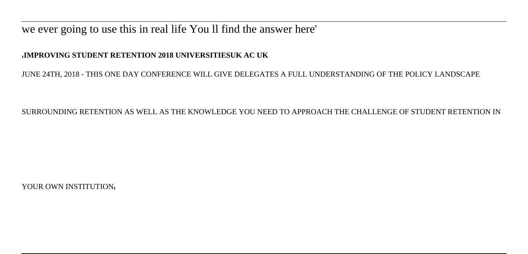### we ever going to use this in real life You ll find the answer here'

#### '**IMPROVING STUDENT RETENTION 2018 UNIVERSITIESUK AC UK**

JUNE 24TH, 2018 - THIS ONE DAY CONFERENCE WILL GIVE DELEGATES A FULL UNDERSTANDING OF THE POLICY LANDSCAPE

SURROUNDING RETENTION AS WELL AS THE KNOWLEDGE YOU NEED TO APPROACH THE CHALLENGE OF STUDENT RETENTION IN

YOUR OWN INSTITUTION,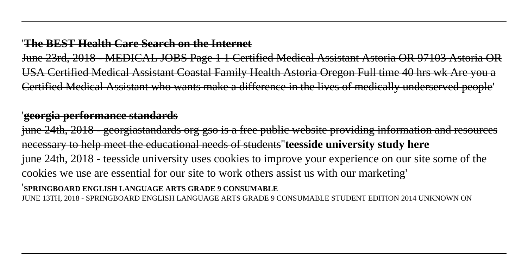#### '**The BEST Health Care Search on the Internet**

June 23rd, 2018 - MEDICAL JOBS Page 1 1 Certified Medical Assistant Astoria OR 97103 Astoria OR USA Certified Medical Assistant Coastal Family Health Astoria Oregon Full time 40 hrs wk Are you a Certified Medical Assistant who wants make a difference in the lives of medically underserved people'

### '**georgia performance standards**

june 24th, 2018 - georgiastandards org gso is a free public website providing information and necessary to help meet the educational needs of students''**teesside university study here** june 24th, 2018 - teesside university uses cookies to improve your experience on our site some of the cookies we use are essential for our site to work others assist us with our marketing'

#### '**SPRINGBOARD ENGLISH LANGUAGE ARTS GRADE 9 CONSUMABLE**

JUNE 13TH, 2018 - SPRINGBOARD ENGLISH LANGUAGE ARTS GRADE 9 CONSUMABLE STUDENT EDITION 2014 UNKNOWN ON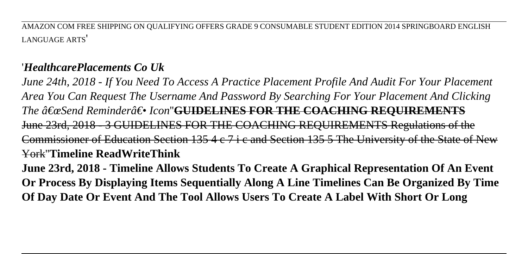AMAZON COM FREE SHIPPING ON QUALIFYING OFFERS GRADE 9 CONSUMABLE STUDENT EDITION 2014 SPRINGBOARD ENGLISH LANGUAGE ARTS'

## '*HealthcarePlacements Co Uk*

*June 24th, 2018 - If You Need To Access A Practice Placement Profile And Audit For Your Placement Area You Can Request The Username And Password By Searching For Your Placement And Clicking* The "Send Reminder― Icon"<del>GUIDELINES FOR THE COACHING REOUIREMENTS</del> June 23rd, 2018 - 3 GUIDELINES FOR THE COACHING REQUIREMENTS Regulations Commissioner of Education Section 135 4 c 7 i c and Section 135 5 The University of the State York''**Timeline ReadWriteThink**

**June 23rd, 2018 - Timeline Allows Students To Create A Graphical Representation Of An Event Or Process By Displaying Items Sequentially Along A Line Timelines Can Be Organized By Time Of Day Date Or Event And The Tool Allows Users To Create A Label With Short Or Long**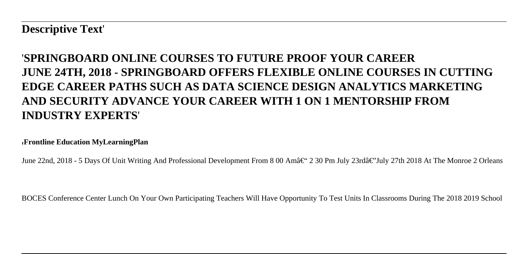**Descriptive Text**'

## '**SPRINGBOARD ONLINE COURSES TO FUTURE PROOF YOUR CAREER JUNE 24TH, 2018 - SPRINGBOARD OFFERS FLEXIBLE ONLINE COURSES IN CUTTING EDGE CAREER PATHS SUCH AS DATA SCIENCE DESIGN ANALYTICS MARKETING AND SECURITY ADVANCE YOUR CAREER WITH 1 ON 1 MENTORSHIP FROM INDUSTRY EXPERTS**'

'**Frontline Education MyLearningPlan**

June 22nd, 2018 - 5 Days Of Unit Writing And Professional Development From 8 00 Amâ $\epsilon$ " 2 30 Pm July 23rdâ $\epsilon$ "July 27th 2018 At The Monroe 2 Orleans

BOCES Conference Center Lunch On Your Own Participating Teachers Will Have Opportunity To Test Units In Classrooms During The 2018 2019 School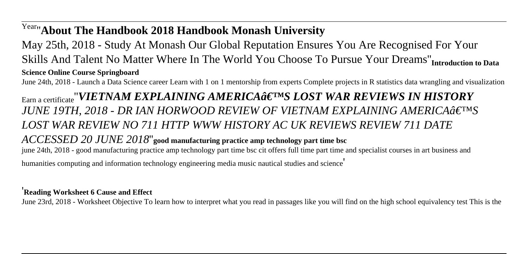## Year''**About The Handbook 2018 Handbook Monash University**

May 25th, 2018 - Study At Monash Our Global Reputation Ensures You Are Recognised For Your Skills And Talent No Matter Where In The World You Choose To Pursue Your Dreams''**Introduction to Data Science Online Course Springboard**

June 24th, 2018 - Launch a Data Science career Learn with 1 on 1 mentorship from experts Complete projects in R statistics data wrangling and visualization

**Earn a certificate** "*VIETNAM EXPLAINING AMERICAâ€*<sup>TM</sup>S LOST WAR REVIEWS IN HISTORY JUNE 19TH, 2018 - DR IAN HORWOOD REVIEW OF VIETNAM EXPLAINING AMERICA a E<sup>TM</sup>S *LOST WAR REVIEW NO 711 HTTP WWW HISTORY AC UK REVIEWS REVIEW 711 DATE ACCESSED 20 JUNE 2018*''**good manufacturing practice amp technology part time bsc** june 24th, 2018 - good manufacturing practice amp technology part time bsc cit offers full time part time and specialist courses in art business and humanities computing and information technology engineering media music nautical studies and science'

#### '**Reading Worksheet 6 Cause and Effect**

June 23rd, 2018 - Worksheet Objective To learn how to interpret what you read in passages like you will find on the high school equivalency test This is the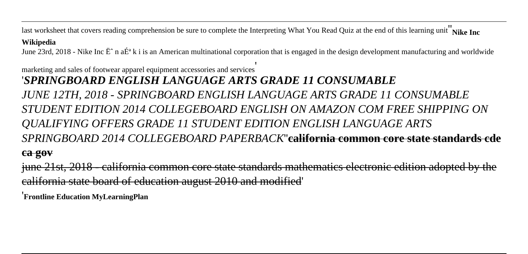last worksheet that covers reading comprehension be sure to complete the Interpreting What You Read Quiz at the end of this learning unit<sup>"</sup>Nike Inc

#### **Wikipedia**

June 23rd, 2018 - Nike Inc  $\ddot{E}$  n a $\ddot{E}^a$  k i is an American multinational corporation that is engaged in the design development manufacturing and worldwide

marketing and sales of footwear apparel equipment accessories and services' '*SPRINGBOARD ENGLISH LANGUAGE ARTS GRADE 11 CONSUMABLE JUNE 12TH, 2018 - SPRINGBOARD ENGLISH LANGUAGE ARTS GRADE 11 CONSUMABLE STUDENT EDITION 2014 COLLEGEBOARD ENGLISH ON AMAZON COM FREE SHIPPING ON QUALIFYING OFFERS GRADE 11 STUDENT EDITION ENGLISH LANGUAGE ARTS SPRINGBOARD 2014 COLLEGEBOARD PAPERBACK*"**california common core state stand** 

#### **ca gov**

june 21st, 2018 - california common core state standards mathematics electronic edition adopted by the california state board of education august 2010 and modified'

'**Frontline Education MyLearningPlan**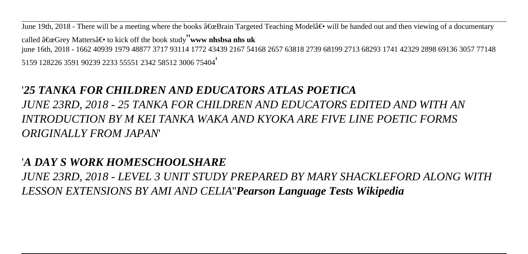June 19th, 2018 - There will be a meeting where the books  $\hat{a} \in \alpha$ Brain Targeted Teaching Model $\hat{a} \in \gamma$  will be handed out and then viewing of a documentary called  $â€ceGrev$  Matters $―$  to kick off the book study**''www nhshsa nhs uk** june 16th, 2018 - 1662 40939 1979 48877 3717 93114 1772 43439 2167 54168 2657 63818 2739 68199 2713 68293 1741 42329 2898 69136 3057 77148 5159 128226 3591 90239 2233 55551 2342 58512 3006 75404'

## '*25 TANKA FOR CHILDREN AND EDUCATORS ATLAS POETICA*

*JUNE 23RD, 2018 - 25 TANKA FOR CHILDREN AND EDUCATORS EDITED AND WITH AN INTRODUCTION BY M KEI TANKA WAKA AND KYOKA ARE FIVE LINE POETIC FORMS ORIGINALLY FROM JAPAN*'

### '*A DAY S WORK HOMESCHOOLSHARE*

*JUNE 23RD, 2018 - LEVEL 3 UNIT STUDY PREPARED BY MARY SHACKLEFORD ALONG WITH LESSON EXTENSIONS BY AMI AND CELIA*''*Pearson Language Tests Wikipedia*